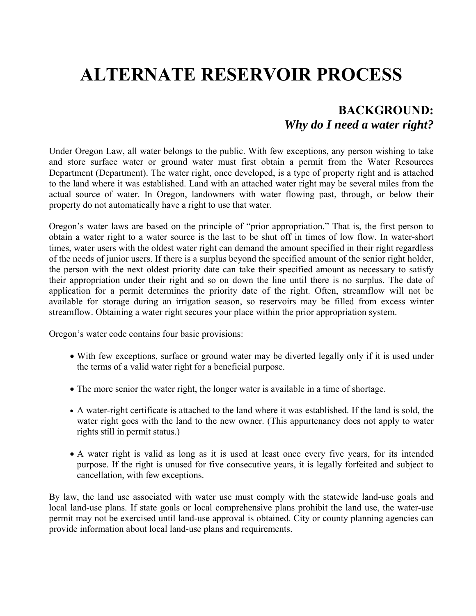# **ALTERNATE RESERVOIR PROCESS**

## **BACKGROUND:**  *Why do I need a water right?*

Under Oregon Law, all water belongs to the public. With few exceptions, any person wishing to take and store surface water or ground water must first obtain a permit from the Water Resources Department (Department). The water right, once developed, is a type of property right and is attached to the land where it was established. Land with an attached water right may be several miles from the actual source of water. In Oregon, landowners with water flowing past, through, or below their property do not automatically have a right to use that water.

Oregon's water laws are based on the principle of "prior appropriation." That is, the first person to obtain a water right to a water source is the last to be shut off in times of low flow. In water-short times, water users with the oldest water right can demand the amount specified in their right regardless of the needs of junior users. If there is a surplus beyond the specified amount of the senior right holder, the person with the next oldest priority date can take their specified amount as necessary to satisfy their appropriation under their right and so on down the line until there is no surplus. The date of application for a permit determines the priority date of the right. Often, streamflow will not be available for storage during an irrigation season, so reservoirs may be filled from excess winter streamflow. Obtaining a water right secures your place within the prior appropriation system.

Oregon's water code contains four basic provisions:

- With few exceptions, surface or ground water may be diverted legally only if it is used under the terms of a valid water right for a beneficial purpose.
- The more senior the water right, the longer water is available in a time of shortage.
- A water-right certificate is attached to the land where it was established. If the land is sold, the water right goes with the land to the new owner. (This appurtenancy does not apply to water rights still in permit status.)
- A water right is valid as long as it is used at least once every five years, for its intended purpose. If the right is unused for five consecutive years, it is legally forfeited and subject to cancellation, with few exceptions.

By law, the land use associated with water use must comply with the statewide land-use goals and local land-use plans. If state goals or local comprehensive plans prohibit the land use, the water-use permit may not be exercised until land-use approval is obtained. City or county planning agencies can provide information about local land-use plans and requirements.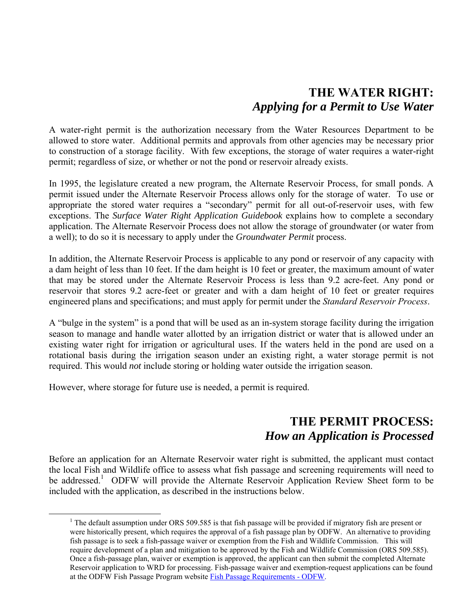## **THE WATER RIGHT:**  *Applying for a Permit to Use Water*

A water-right permit is the authorization necessary from the Water Resources Department to be allowed to store water. Additional permits and approvals from other agencies may be necessary prior to construction of a storage facility. With few exceptions, the storage of water requires a water-right permit; regardless of size, or whether or not the pond or reservoir already exists.

In 1995, the legislature created a new program, the Alternate Reservoir Process, for small ponds. A permit issued under the Alternate Reservoir Process allows only for the storage of water. To use or appropriate the stored water requires a "secondary" permit for all out-of-reservoir uses, with few exceptions. The *Surface Water Right Application Guidebook* explains how to complete a secondary application. The Alternate Reservoir Process does not allow the storage of groundwater (or water from a well); to do so it is necessary to apply under the *Groundwater Permit* process.

In addition, the Alternate Reservoir Process is applicable to any pond or reservoir of any capacity with a dam height of less than 10 feet. If the dam height is 10 feet or greater, the maximum amount of water that may be stored under the Alternate Reservoir Process is less than 9.2 acre-feet. Any pond or reservoir that stores 9.2 acre-feet or greater and with a dam height of 10 feet or greater requires engineered plans and specifications; and must apply for permit under the *Standard Reservoir Process*.

A "bulge in the system" is a pond that will be used as an in-system storage facility during the irrigation season to manage and handle water allotted by an irrigation district or water that is allowed under an existing water right for irrigation or agricultural uses. If the waters held in the pond are used on a rotational basis during the irrigation season under an existing right, a water storage permit is not required. This would *not* include storing or holding water outside the irrigation season.

However, where storage for future use is needed, a permit is required.

### **THE PERMIT PROCESS:**  *How an Application is Processed*

Before an application for an Alternate Reservoir water right is submitted, the applicant must contact the local Fish and Wildlife office to assess what fish passage and screening requirements will need to be addressed.<sup>1</sup> ODFW will provide the Alternate Reservoir Application Review Sheet form to be included with the application, as described in the instructions below.

<sup>&</sup>lt;sup>1</sup> The default assumption under ORS 509.585 is that fish passage will be provided if migratory fish are present or were historically present, which requires the approval of a fish passage plan by ODFW. An alternative to providing fish passage is to seek a fish-passage waiver or exemption from the Fish and Wildlife Commission. This will require development of a plan and mitigation to be approved by the Fish and Wildlife Commission (ORS 509.585). Once a fish-passage plan, waiver or exemption is approved, the applicant can then submit the completed Alternate Reservoir application to WRD for processing. Fish-passage waiver and exemption-request applications can be found at the ODFW Fish Passage Program website Fish Passage Requirements - ODFW.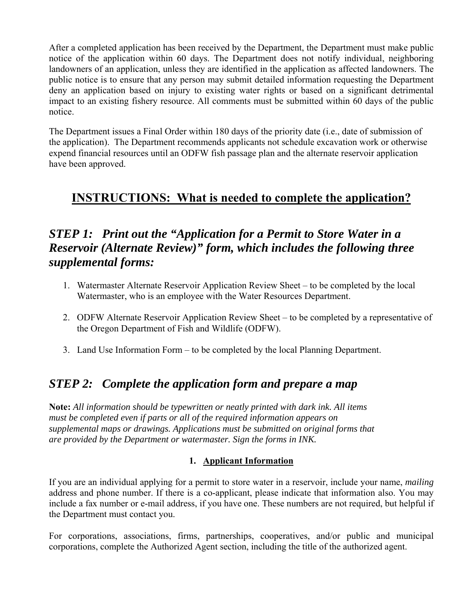After a completed application has been received by the Department, the Department must make public notice of the application within 60 days. The Department does not notify individual, neighboring landowners of an application, unless they are identified in the application as affected landowners. The public notice is to ensure that any person may submit detailed information requesting the Department deny an application based on injury to existing water rights or based on a significant detrimental impact to an existing fishery resource. All comments must be submitted within 60 days of the public notice.

The Department issues a Final Order within 180 days of the priority date (i.e., date of submission of the application). The Department recommends applicants not schedule excavation work or otherwise expend financial resources until an ODFW fish passage plan and the alternate reservoir application have been approved.

## **INSTRUCTIONS: What is needed to complete the application?**

## *STEP 1: Print out the "Application for a Permit to Store Water in a Reservoir (Alternate Review)" form, which includes the following three supplemental forms:*

- 1. Watermaster Alternate Reservoir Application Review Sheet to be completed by the local Watermaster, who is an employee with the Water Resources Department.
- 2. ODFW Alternate Reservoir Application Review Sheet to be completed by a representative of the Oregon Department of Fish and Wildlife (ODFW).
- 3. Land Use Information Form to be completed by the local Planning Department.

## *STEP 2: Complete the application form and prepare a map*

**Note:** *All information should be typewritten or neatly printed with dark ink. All items must be completed even if parts or all of the required information appears on supplemental maps or drawings. Applications must be submitted on original forms that are provided by the Department or watermaster. Sign the forms in INK.* 

### **1. Applicant Information**

If you are an individual applying for a permit to store water in a reservoir, include your name, *mailing* address and phone number. If there is a co-applicant, please indicate that information also. You may include a fax number or e-mail address, if you have one. These numbers are not required, but helpful if the Department must contact you.

For corporations, associations, firms, partnerships, cooperatives, and/or public and municipal corporations, complete the Authorized Agent section, including the title of the authorized agent.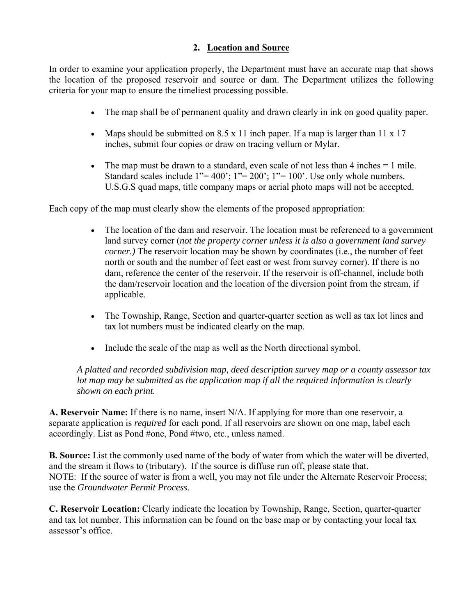#### **2. Location and Source**

In order to examine your application properly, the Department must have an accurate map that shows the location of the proposed reservoir and source or dam. The Department utilizes the following criteria for your map to ensure the timeliest processing possible.

- The map shall be of permanent quality and drawn clearly in ink on good quality paper.
- Maps should be submitted on  $8.5 \times 11$  inch paper. If a map is larger than  $11 \times 17$ inches, submit four copies or draw on tracing vellum or Mylar.
- $\bullet$  The map must be drawn to a standard, even scale of not less than 4 inches  $= 1$  mile. Standard scales include  $1''=400'$ ;  $1''=200'$ ;  $1''=100'$ . Use only whole numbers. U.S.G.S quad maps, title company maps or aerial photo maps will not be accepted.

Each copy of the map must clearly show the elements of the proposed appropriation:

- The location of the dam and reservoir. The location must be referenced to a government land survey corner (*not the property corner unless it is also a government land survey corner.*) The reservoir location may be shown by coordinates (i.e., the number of feet north or south and the number of feet east or west from survey corner). If there is no dam, reference the center of the reservoir. If the reservoir is off-channel, include both the dam/reservoir location and the location of the diversion point from the stream, if applicable.
- The Township, Range, Section and quarter-quarter section as well as tax lot lines and tax lot numbers must be indicated clearly on the map.
- Include the scale of the map as well as the North directional symbol.

*A platted and recorded subdivision map, deed description survey map or a county assessor tax lot map may be submitted as the application map if all the required information is clearly shown on each print.* 

**A. Reservoir Name:** If there is no name, insert N/A. If applying for more than one reservoir, a separate application is *required* for each pond. If all reservoirs are shown on one map, label each accordingly. List as Pond #one, Pond #two, etc., unless named.

**B. Source:** List the commonly used name of the body of water from which the water will be diverted, and the stream it flows to (tributary). If the source is diffuse run off, please state that. NOTE: If the source of water is from a well, you may not file under the Alternate Reservoir Process; use the *Groundwater Permit Process*.

**C. Reservoir Location:** Clearly indicate the location by Township, Range, Section, quarter-quarter and tax lot number. This information can be found on the base map or by contacting your local tax assessor's office.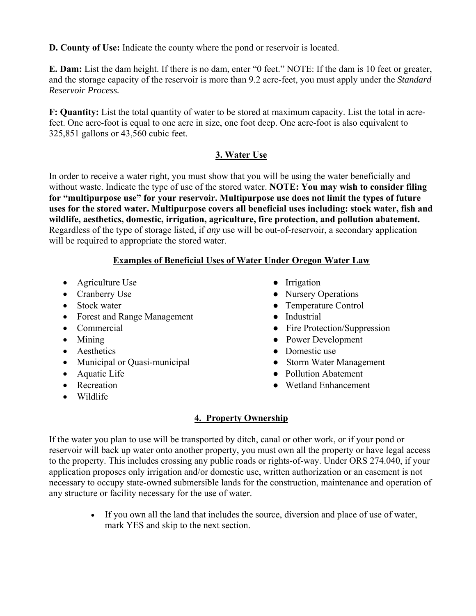**D. County of Use:** Indicate the county where the pond or reservoir is located.

**E. Dam:** List the dam height. If there is no dam, enter "0 feet." NOTE: If the dam is 10 feet or greater, and the storage capacity of the reservoir is more than 9.2 acre-feet, you must apply under the *Standard Reservoir Process.* 

**F: Quantity:** List the total quantity of water to be stored at maximum capacity. List the total in acrefeet. One acre-foot is equal to one acre in size, one foot deep. One acre-foot is also equivalent to 325,851 gallons or 43,560 cubic feet.

### **3. Water Use**

In order to receive a water right, you must show that you will be using the water beneficially and without waste. Indicate the type of use of the stored water. **NOTE: You may wish to consider filing for "multipurpose use" for your reservoir. Multipurpose use does not limit the types of future uses for the stored water. Multipurpose covers all beneficial uses including: stock water, fish and wildlife, aesthetics, domestic, irrigation, agriculture, fire protection, and pollution abatement.**  Regardless of the type of storage listed, if *any* use will be out-of-reservoir, a secondary application will be required to appropriate the stored water.

### **Examples of Beneficial Uses of Water Under Oregon Water Law**

- Agriculture Use **•** Irrigation
- 
- 
- Forest and Range Management Industrial
- 
- 
- 
- Municipal or Quasi-municipal Storm Water Management
- 
- 
- Wildlife
- 
- Cranberry Use Nursery Operations
- Stock water Temperature Control
	-
- Commercial Commercial Fire Protection/Suppression
- Mining Power Development
- Aesthetics Domestic use
	-
- Aquatic Life  **Pollution Abatement**
- Recreation Wetland Enhancement

### **4. Property Ownership**

If the water you plan to use will be transported by ditch, canal or other work, or if your pond or reservoir will back up water onto another property, you must own all the property or have legal access to the property. This includes crossing any public roads or rights-of-way. Under ORS 274.040, if your application proposes only irrigation and/or domestic use, written authorization or an easement is not necessary to occupy state-owned submersible lands for the construction, maintenance and operation of any structure or facility necessary for the use of water.

> If you own all the land that includes the source, diversion and place of use of water, mark YES and skip to the next section.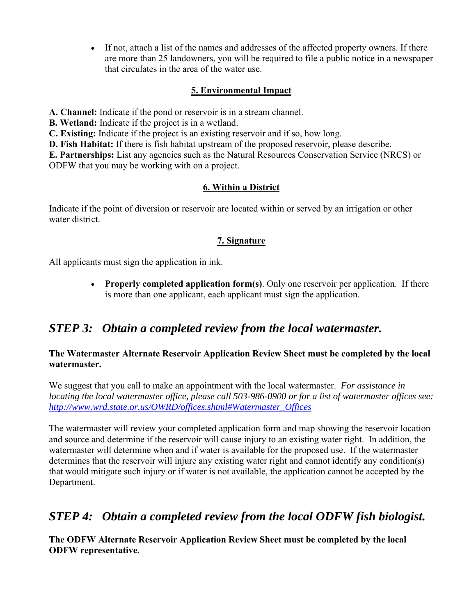If not, attach a list of the names and addresses of the affected property owners. If there are more than 25 landowners, you will be required to file a public notice in a newspaper that circulates in the area of the water use.

#### **5. Environmental Impact**

**A. Channel:** Indicate if the pond or reservoir is in a stream channel.

**B. Wetland:** Indicate if the project is in a wetland.

**C. Existing:** Indicate if the project is an existing reservoir and if so, how long.

**D. Fish Habitat:** If there is fish habitat upstream of the proposed reservoir, please describe.

**E. Partnerships:** List any agencies such as the Natural Resources Conservation Service (NRCS) or ODFW that you may be working with on a project.

#### **6. Within a District**

Indicate if the point of diversion or reservoir are located within or served by an irrigation or other water district.

#### **7. Signature**

All applicants must sign the application in ink.

 **Properly completed application form(s)**. Only one reservoir per application. If there is more than one applicant, each applicant must sign the application.

### *STEP 3: Obtain a completed review from the local watermaster.*

#### **The Watermaster Alternate Reservoir Application Review Sheet must be completed by the local watermaster.**

We suggest that you call to make an appointment with the local watermaster. *For assistance in locating the local watermaster office, please call 503-986-0900 or for a list of watermaster offices see: http://www.wrd.state.or.us/OWRD/offices.shtml#Watermaster\_Offices*

The watermaster will review your completed application form and map showing the reservoir location and source and determine if the reservoir will cause injury to an existing water right. In addition, the watermaster will determine when and if water is available for the proposed use. If the watermaster determines that the reservoir will injure any existing water right and cannot identify any condition(s) that would mitigate such injury or if water is not available, the application cannot be accepted by the Department.

### *STEP 4: Obtain a completed review from the local ODFW fish biologist.*

**The ODFW Alternate Reservoir Application Review Sheet must be completed by the local ODFW representative.**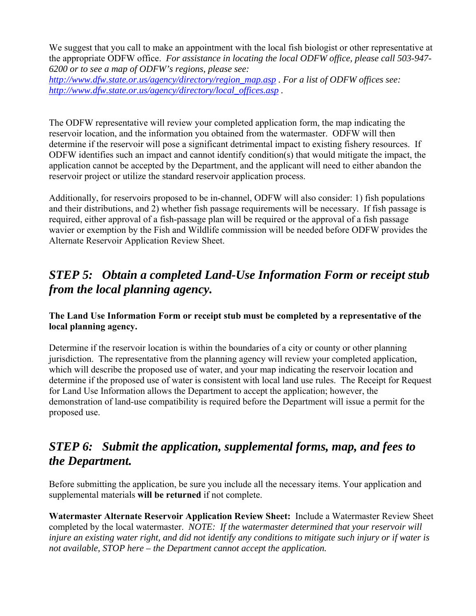We suggest that you call to make an appointment with the local fish biologist or other representative at the appropriate ODFW office. *For assistance in locating the local ODFW office, please call 503-947- 6200 or to see a map of ODFW's regions, please see:* 

*http://www.dfw.state.or.us/agency/directory/region\_map.asp . For a list of ODFW offices see: http://www.dfw.state.or.us/agency/directory/local\_offices.asp .* 

The ODFW representative will review your completed application form, the map indicating the reservoir location, and the information you obtained from the watermaster. ODFW will then determine if the reservoir will pose a significant detrimental impact to existing fishery resources. If ODFW identifies such an impact and cannot identify condition(s) that would mitigate the impact, the application cannot be accepted by the Department, and the applicant will need to either abandon the reservoir project or utilize the standard reservoir application process.

Additionally, for reservoirs proposed to be in-channel, ODFW will also consider: 1) fish populations and their distributions, and 2) whether fish passage requirements will be necessary. If fish passage is required, either approval of a fish-passage plan will be required or the approval of a fish passage wavier or exemption by the Fish and Wildlife commission will be needed before ODFW provides the Alternate Reservoir Application Review Sheet.

## *STEP 5: Obtain a completed Land-Use Information Form or receipt stub from the local planning agency.*

#### **The Land Use Information Form or receipt stub must be completed by a representative of the local planning agency.**

Determine if the reservoir location is within the boundaries of a city or county or other planning jurisdiction. The representative from the planning agency will review your completed application, which will describe the proposed use of water, and your map indicating the reservoir location and determine if the proposed use of water is consistent with local land use rules. The Receipt for Request for Land Use Information allows the Department to accept the application; however, the demonstration of land-use compatibility is required before the Department will issue a permit for the proposed use.

## *STEP 6: Submit the application, supplemental forms, map, and fees to the Department.*

Before submitting the application, be sure you include all the necessary items. Your application and supplemental materials **will be returned** if not complete.

**Watermaster Alternate Reservoir Application Review Sheet:** Include a Watermaster Review Sheet completed by the local watermaster. *NOTE: If the watermaster determined that your reservoir will injure an existing water right, and did not identify any conditions to mitigate such injury or if water is not available, STOP here – the Department cannot accept the application.*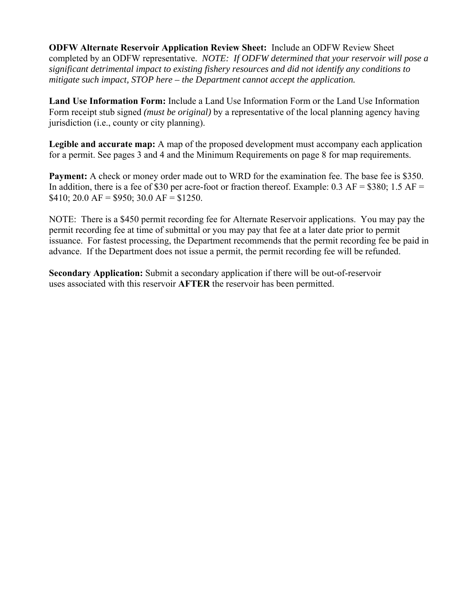**ODFW Alternate Reservoir Application Review Sheet:** Include an ODFW Review Sheet completed by an ODFW representative. *NOTE: If ODFW determined that your reservoir will pose a significant detrimental impact to existing fishery resources and did not identify any conditions to mitigate such impact, STOP here – the Department cannot accept the application.*

**Land Use Information Form:** Include a Land Use Information Form or the Land Use Information Form receipt stub signed *(must be original)* by a representative of the local planning agency having jurisdiction (i.e., county or city planning).

**Legible and accurate map:** A map of the proposed development must accompany each application for a permit. See pages 3 and 4 and the Minimum Requirements on page 8 for map requirements.

**Payment:** A check or money order made out to WRD for the examination fee. The base fee is \$350. In addition, there is a fee of \$30 per acre-foot or fraction thereof. Example:  $0.3$  AF = \$380;  $1.5$  AF =  $$410; 20.0 \text{ AF} = $950; 30.0 \text{ AF} = $1250.$ 

NOTE: There is a \$450 permit recording fee for Alternate Reservoir applications. You may pay the permit recording fee at time of submittal or you may pay that fee at a later date prior to permit issuance. For fastest processing, the Department recommends that the permit recording fee be paid in advance. If the Department does not issue a permit, the permit recording fee will be refunded.

**Secondary Application:** Submit a secondary application if there will be out-of-reservoir uses associated with this reservoir **AFTER** the reservoir has been permitted.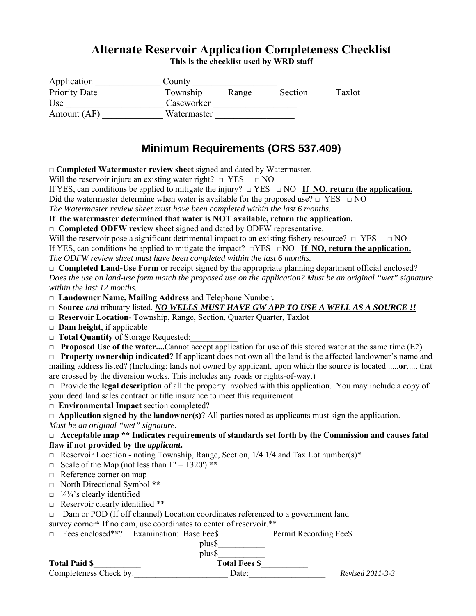### **Alternate Reservoir Application Completeness Checklist**

**This is the checklist used by WRD staff** 

| Application   | County      |       |         |        |
|---------------|-------------|-------|---------|--------|
| Priority Date | Township    | Range | Section | Taxlot |
| Use           | Caseworker  |       |         |        |
| Amount (AF)   | Watermaster |       |         |        |

### **Minimum Requirements (ORS 537.409)**

**□ Completed Watermaster review sheet** signed and dated by Watermaster.

Will the reservoir injure an existing water right?  $\Box$  YES  $\Box$  NO

If YES, can conditions be applied to mitigate the injury? □ YES □ NO **If NO, return the application.**

Did the watermaster determine when water is available for the proposed use?  $\Box$  YES  $\Box$  NO

*The Watermaster review sheet must have been completed within the last 6 months.*

#### **If the watermaster determined that water is NOT available, return the application.**

□ **Completed ODFW review sheet** signed and dated by ODFW representative.

Will the reservoir pose a significant detrimental impact to an existing fishery resource?  $\Box$  YES  $\Box$  NO If YES, can conditions be applied to mitigate the impact? □YES □NO **If NO, return the application.** *The ODFW review sheet must have been completed within the last 6 months.*

□ **Completed Land-Use Form** or receipt signed by the appropriate planning department official enclosed? *Does the use on land-use form match the proposed use on the application? Must be an original "wet" signature within the last 12 months.*

**□ Landowner Name, Mailing Address** and Telephone Number**.**

□ **Source** and tributary listed. *NO WELLS-MUST HAVE GW APP TO USE A WELL AS A SOURCE !!* 

- **□ Reservoir Location** Township, Range, Section, Quarter Quarter, Taxlot
- **□ Dam height**, if applicable
- □ **Total Quantity** of Storage Requested:
- □ **Proposed Use of the water....**Cannot accept application for use of this stored water at the same time (E2)

**□ Property ownership indicated?** If applicant does not own all the land is the affected landowner's name and mailing address listed? (Including: lands not owned by applicant, upon which the source is located .....**or**..... that are crossed by the diversion works. This includes any roads or rights-of-way.)

**□** Provide the **legal description** of all the property involved with this application. You may include a copy of your deed land sales contract or title insurance to meet this requirement

**□ Environmental Impact** section completed?

□ **Application signed by the landowner(s)**? All parties noted as applicants must sign the application.

*Must be an original "wet" signature.* 

**□ Acceptable map \*\* Indicates requirements of standards set forth by the Commission and causes fatal flaw if not provided by the** *applicant***.** 

 $\Box$  Reservoir Location - noting Township, Range, Section, 1/4 1/4 and Tax Lot number(s)\*

 $\Box$  Scale of the Map (not less than  $1'' = 1320'$ ) \*\*

- □ Reference corner on map
- □ North Directional Symbol **\*\***
- $\Box$  1/4<sup>1</sup>/4's clearly identified
- □ Reservoir clearly identified \*\*

 $\Box$  Dam or POD (If off channel) Location coordinates referenced to a government land

survey corner\* If no dam, use coordinates to center of reservoir.\*\*

| $\Box$ Fees enclosed**? Examination: Base Fee\$ |  | Permit Recording Fee\$ |
|-------------------------------------------------|--|------------------------|
|                                                 |  |                        |

 plus\$\_\_\_\_\_\_\_\_\_\_\_ plus\$\_\_\_\_\_\_\_\_\_\_\_

Total Paid \$<sup>place</sup> **Total Fees \$** 

Completeness Check by:\_\_\_\_\_\_\_\_\_\_\_\_\_\_\_\_\_\_\_\_\_\_ Date:\_\_\_\_\_\_\_\_\_\_\_\_\_\_\_\_\_\_ *Revised 2011-3-3*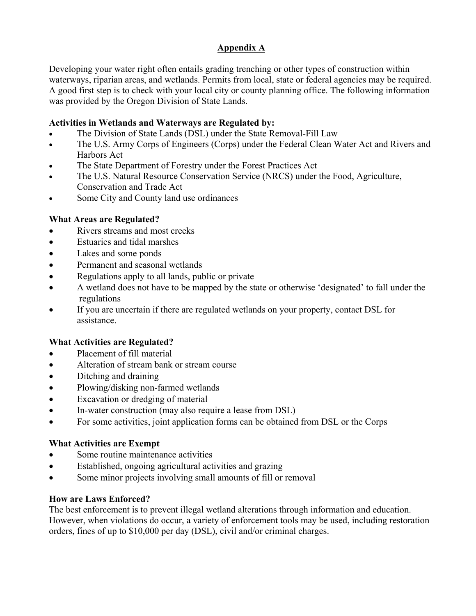#### **Appendix A**

Developing your water right often entails grading trenching or other types of construction within waterways, riparian areas, and wetlands. Permits from local, state or federal agencies may be required. A good first step is to check with your local city or county planning office. The following information was provided by the Oregon Division of State Lands.

#### **Activities in Wetlands and Waterways are Regulated by:**

- The Division of State Lands (DSL) under the State Removal-Fill Law
- The U.S. Army Corps of Engineers (Corps) under the Federal Clean Water Act and Rivers and Harbors Act
- The State Department of Forestry under the Forest Practices Act
- The U.S. Natural Resource Conservation Service (NRCS) under the Food, Agriculture, Conservation and Trade Act
- Some City and County land use ordinances

#### **What Areas are Regulated?**

- Rivers streams and most creeks
- Estuaries and tidal marshes
- Lakes and some ponds
- Permanent and seasonal wetlands
- Regulations apply to all lands, public or private
- A wetland does not have to be mapped by the state or otherwise 'designated' to fall under the regulations
- If you are uncertain if there are regulated wetlands on your property, contact DSL for assistance.

### **What Activities are Regulated?**

- Placement of fill material
- Alteration of stream bank or stream course
- Ditching and draining
- Plowing/disking non-farmed wetlands
- Excavation or dredging of material
- In-water construction (may also require a lease from DSL)
- For some activities, joint application forms can be obtained from DSL or the Corps

#### **What Activities are Exempt**

- Some routine maintenance activities
- Established, ongoing agricultural activities and grazing
- Some minor projects involving small amounts of fill or removal

#### **How are Laws Enforced?**

The best enforcement is to prevent illegal wetland alterations through information and education. However, when violations do occur, a variety of enforcement tools may be used, including restoration orders, fines of up to \$10,000 per day (DSL), civil and/or criminal charges.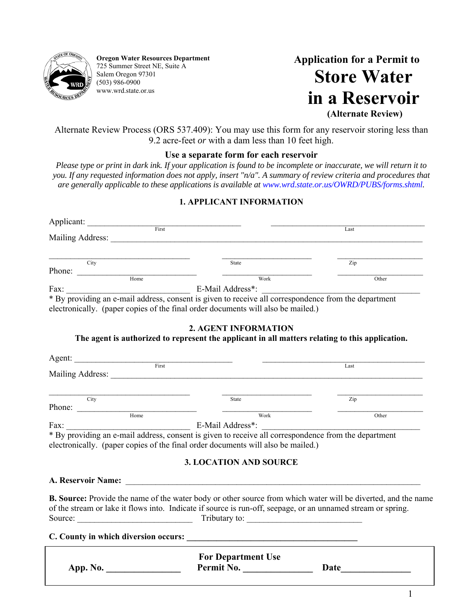

**Oregon Water Resources Department**  725 Summer Street NE, Suite A Salem Oregon 97301 (503) 986-0900 www.wrd.state.or.us

 **Application for a Permit to Store Water in a Reservoir (Alternate Review)** 

Alternate Review Process (ORS 537.409): You may use this form for any reservoir storing less than 9.2 acre-feet *or* with a dam less than 10 feet high.

#### **Use a separate form for each reservoir**

*Please type or print in dark ink. If your application is found to be incomplete or inaccurate, we will return it to you. If any requested information does not apply, insert "n/a". A summary of review criteria and procedures that are generally applicable to these applications is available at www.wrd.state.or.us/OWRD/PUBS/forms.shtml.* 

#### **1. APPLICANT INFORMATION**

| First                                                                                                |                  | Last  |
|------------------------------------------------------------------------------------------------------|------------------|-------|
| Mailing Address:                                                                                     |                  |       |
|                                                                                                      |                  |       |
| City                                                                                                 | <b>State</b>     | Zip   |
| Phone:                                                                                               |                  |       |
| Home                                                                                                 | Work             | Other |
| Fax:                                                                                                 | E-Mail Address*: |       |
| * By providing an e-mail address, consent is given to receive all correspondence from the department |                  |       |

electronically. (paper copies of the final order documents will also be mailed.)

#### **2. AGENT INFORMATION**

#### **The agent is authorized to represent the applicant in all matters relating to this application.**

| Agent:<br>First  |                                                                                                      | Last  |
|------------------|------------------------------------------------------------------------------------------------------|-------|
| Mailing Address: |                                                                                                      |       |
|                  |                                                                                                      |       |
| City             | State                                                                                                | Zip   |
| Phone:           |                                                                                                      |       |
| Home             | Work                                                                                                 | Other |
| Fax:             | E-Mail Address*:                                                                                     |       |
|                  | * By providing an e-mail address, consent is given to receive all correspondence from the department |       |
|                  | electronically. (paper copies of the final order documents will also be mailed.)                     |       |

#### **3. LOCATION AND SOURCE**

**A. Reservoir Name:** \_\_\_\_\_\_\_\_\_\_\_\_\_\_\_\_\_\_\_\_\_\_\_\_\_\_\_\_\_\_\_\_\_\_\_\_\_\_\_\_\_\_\_\_\_\_\_\_\_\_\_\_\_\_\_\_\_\_\_\_\_\_\_\_\_\_\_\_\_

**B. Source:** Provide the name of the water body or other source from which water will be diverted, and the name of the stream or lake it flows into. Indicate if source is run-off, seepage, or an unnamed stream or spring. Source: \_\_\_\_\_\_\_\_\_\_\_\_\_\_\_\_\_\_\_\_\_\_\_\_\_\_\_ Tributary to: \_\_\_\_\_\_\_\_\_\_\_\_\_\_\_\_\_\_\_\_\_\_\_\_\_\_\_

#### **C. County in which diversion occurs:**  $\qquad \qquad$

|          | <b>For Department Use</b> |      |
|----------|---------------------------|------|
| App. No. | Permit No.                | Date |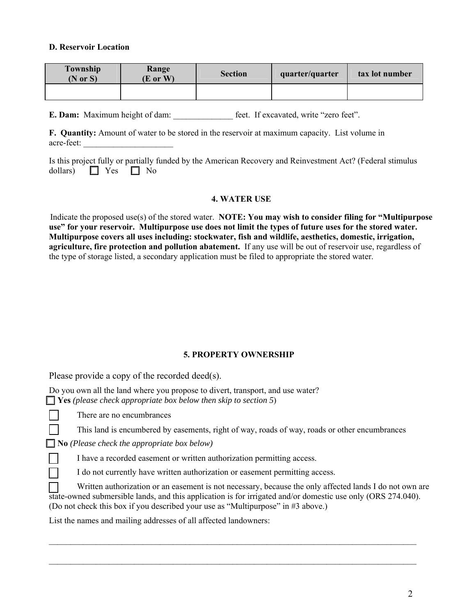#### **D. Reservoir Location**

| Township<br>$(N \text{ or } S)$ | Range<br>(E or W) | <b>Section</b> | quarter/quarter | tax lot number |
|---------------------------------|-------------------|----------------|-----------------|----------------|
|                                 |                   |                |                 |                |

**E. Dam:** Maximum height of dam: <br>feet. If excavated, write "zero feet".

**F. Quantity:** Amount of water to be stored in the reservoir at maximum capacity. List volume in acre-feet:

|                               |  |  | Is this project fully or partially funded by the American Recovery and Reinvestment Act? (Federal stimulus |  |  |  |
|-------------------------------|--|--|------------------------------------------------------------------------------------------------------------|--|--|--|
| dollars) $\Box$ Yes $\Box$ No |  |  |                                                                                                            |  |  |  |

#### **4. WATER USE**

Indicate the proposed use(s) of the stored water. **NOTE: You may wish to consider filing for "Multipurpose use" for your reservoir. Multipurpose use does not limit the types of future uses for the stored water. Multipurpose covers all uses including: stockwater, fish and wildlife, aesthetics, domestic, irrigation, agriculture, fire protection and pollution abatement.** If any use will be out of reservoir use, regardless of the type of storage listed, a secondary application must be filed to appropriate the stored water.

#### **5. PROPERTY OWNERSHIP**

Please provide a copy of the recorded deed(s).

Do you own all the land where you propose to divert, transport, and use water? **Yes** *(please check appropriate box below then skip to section 5*)

There are no encumbrances

This land is encumbered by easements, right of way, roads of way, roads or other encumbrances

 **No** *(Please check the appropriate box below)*

I have a recorded easement or written authorization permitting access.

I do not currently have written authorization or easement permitting access.

Written authorization or an easement is not necessary, because the only affected lands I do not own are state-owned submersible lands, and this application is for irrigated and/or domestic use only (ORS 274.040). (Do not check this box if you described your use as "Multipurpose" in #3 above.)

 $\mathcal{L}_\mathcal{L} = \{ \mathcal{L}_\mathcal{L} = \{ \mathcal{L}_\mathcal{L} = \{ \mathcal{L}_\mathcal{L} = \{ \mathcal{L}_\mathcal{L} = \{ \mathcal{L}_\mathcal{L} = \{ \mathcal{L}_\mathcal{L} = \{ \mathcal{L}_\mathcal{L} = \{ \mathcal{L}_\mathcal{L} = \{ \mathcal{L}_\mathcal{L} = \{ \mathcal{L}_\mathcal{L} = \{ \mathcal{L}_\mathcal{L} = \{ \mathcal{L}_\mathcal{L} = \{ \mathcal{L}_\mathcal{L} = \{ \mathcal{L}_\mathcal{$ 

\_\_\_\_\_\_\_\_\_\_\_\_\_\_\_\_\_\_\_\_\_\_\_\_\_\_\_\_\_\_\_\_\_\_\_\_\_\_\_\_\_\_\_\_\_\_\_\_\_\_\_\_\_\_\_\_\_\_\_\_\_\_\_\_\_\_\_\_\_\_\_\_\_\_\_\_\_\_\_\_\_\_\_\_\_\_

List the names and mailing addresses of all affected landowners: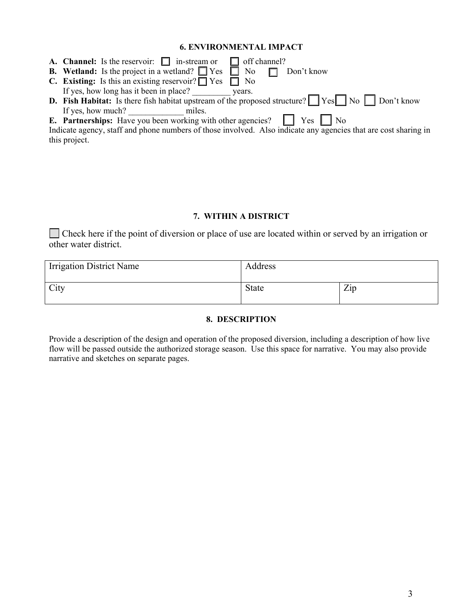#### **6. ENVIRONMENTAL IMPACT**

| <b>A. Channel:</b> Is the reservoir: $\Box$ in-stream or $\Box$ off channel?                                             |
|--------------------------------------------------------------------------------------------------------------------------|
| <b>B.</b> Wetland: Is the project in a wetland? $\Box$ Yes $\Box$ No<br>$\Box$ Don't know                                |
| <b>C.</b> Existing: Is this an existing reservoir? $\Box$ Yes $\Box$ No                                                  |
| If yes, how long has it been in place?<br>vears.                                                                         |
| <b>D.</b> Fish Habitat: Is there fish habitat upstream of the proposed structure? $\Box$ Yes $\Box$ No $\Box$ Don't know |
| If yes, how much?<br>miles.                                                                                              |
| <b>E. Partnerships:</b> Have you been working with other agencies? $\Box$ Yes $\Box$ No                                  |
| Indicate agency, staff and phone numbers of those involved. Also indicate any agencies that are cost sharing in          |

Indicate agency, staff and phone numbers of those involved. Also indicate any agencies that are cost sharing in this project.

#### **7. WITHIN A DISTRICT**

 Check here if the point of diversion or place of use are located within or served by an irrigation or other water district.

| <b>Irrigation District Name</b> | Address      |                |
|---------------------------------|--------------|----------------|
| City                            | <b>State</b> | $\mathbf{Zip}$ |

#### **8. DESCRIPTION**

Provide a description of the design and operation of the proposed diversion, including a description of how live flow will be passed outside the authorized storage season. Use this space for narrative. You may also provide narrative and sketches on separate pages.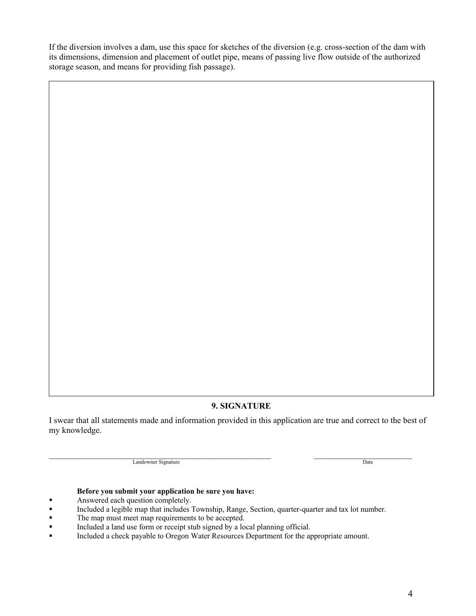If the diversion involves a dam, use this space for sketches of the diversion (e.g. cross-section of the dam with its dimensions, dimension and placement of outlet pipe, means of passing live flow outside of the authorized storage season, and means for providing fish passage).

#### **9. SIGNATURE**

I swear that all statements made and information provided in this application are true and correct to the best of my knowledge.

Landowner Signature **Date** 

#### **Before you submit your application be sure you have:**

- Answered each question completely.
- Included a legible map that includes Township, Range, Section, quarter-quarter and tax lot number.
- The map must meet map requirements to be accepted.
- Included a land use form or receipt stub signed by a local planning official.
- Included a check payable to Oregon Water Resources Department for the appropriate amount.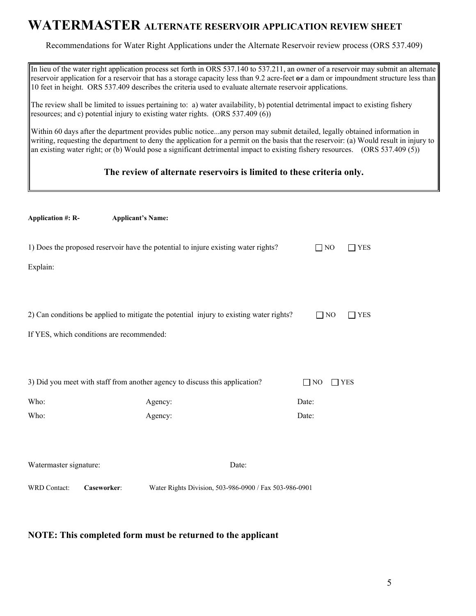### **WATERMASTER ALTERNATE RESERVOIR APPLICATION REVIEW SHEET**

Recommendations for Water Right Applications under the Alternate Reservoir review process (ORS 537.409)

In lieu of the water right application process set forth in ORS 537.140 to 537.211, an owner of a reservoir may submit an alternate reservoir application for a reservoir that has a storage capacity less than 9.2 acre-feet **or** a dam or impoundment structure less than 10 feet in height. ORS 537.409 describes the criteria used to evaluate alternate reservoir applications.

The review shall be limited to issues pertaining to: a) water availability, b) potential detrimental impact to existing fishery resources; and c) potential injury to existing water rights. (ORS 537.409 (6))

Within 60 days after the department provides public notice...any person may submit detailed, legally obtained information in writing, requesting the department to deny the application for a permit on the basis that the reservoir: (a) Would result in injury to an existing water right; or (b) Would pose a significant detrimental impact to existing fishery resources. (ORS 537.409 (5))

#### **The review of alternate reservoirs is limited to these criteria only.**

| <b>Application #: R-</b>                  | <b>Applicant's Name:</b>                                                                |                         |            |
|-------------------------------------------|-----------------------------------------------------------------------------------------|-------------------------|------------|
|                                           | 1) Does the proposed reservoir have the potential to injure existing water rights?      | $\Box$ NO               | $\Box$ YES |
| Explain:                                  |                                                                                         |                         |            |
|                                           |                                                                                         |                         |            |
|                                           | 2) Can conditions be applied to mitigate the potential injury to existing water rights? | $\Box$ NO               | <b>YES</b> |
| If YES, which conditions are recommended: |                                                                                         |                         |            |
|                                           |                                                                                         |                         |            |
|                                           | 3) Did you meet with staff from another agency to discuss this application?             | $\Box$ NO<br>$\Box$ YES |            |
| Who:                                      | Agency:                                                                                 | Date:                   |            |
| Who:                                      | Agency:                                                                                 | Date:                   |            |
|                                           |                                                                                         |                         |            |
| Watermaster signature:                    | Date:                                                                                   |                         |            |
| WRD Contact:<br>Caseworker:               | Water Rights Division, 503-986-0900 / Fax 503-986-0901                                  |                         |            |
|                                           |                                                                                         |                         |            |

#### **NOTE: This completed form must be returned to the applicant**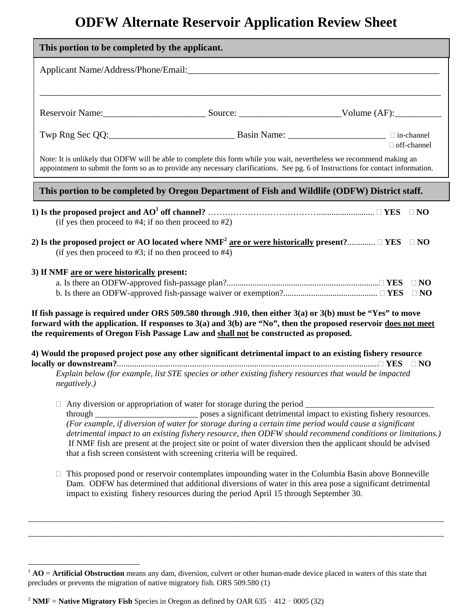## **ODFW Alternate Reservoir Application Review Sheet**

| This portion to be completed by the applicant.                                                                                                                                                                                                                                                                                 |                                                                                                                                                                                                                                                                                                                                      |               |
|--------------------------------------------------------------------------------------------------------------------------------------------------------------------------------------------------------------------------------------------------------------------------------------------------------------------------------|--------------------------------------------------------------------------------------------------------------------------------------------------------------------------------------------------------------------------------------------------------------------------------------------------------------------------------------|---------------|
|                                                                                                                                                                                                                                                                                                                                |                                                                                                                                                                                                                                                                                                                                      |               |
|                                                                                                                                                                                                                                                                                                                                |                                                                                                                                                                                                                                                                                                                                      |               |
|                                                                                                                                                                                                                                                                                                                                |                                                                                                                                                                                                                                                                                                                                      | □ off-channel |
| Note: It is unlikely that ODFW will be able to complete this form while you wait, nevertheless we recommend making an<br>appointment to submit the form so as to provide any necessary clarifications. See pg. 6 of Instructions for contact information.                                                                      |                                                                                                                                                                                                                                                                                                                                      |               |
| This portion to be completed by Oregon Department of Fish and Wildlife (ODFW) District staff.                                                                                                                                                                                                                                  |                                                                                                                                                                                                                                                                                                                                      |               |
| (if yes then proceed to $#4$ ; if no then proceed to $#2$ )                                                                                                                                                                                                                                                                    |                                                                                                                                                                                                                                                                                                                                      |               |
| 2) Is the proposed project or AO located where NMF <sup>2</sup> are or were historically present? $\Box$ YES $\Box$ NO<br>(if yes then proceed to $#3$ ; if no then proceed to $#4$ )                                                                                                                                          |                                                                                                                                                                                                                                                                                                                                      |               |
| 3) If NMF are or were historically present:                                                                                                                                                                                                                                                                                    |                                                                                                                                                                                                                                                                                                                                      | $\Box$ NO     |
| If fish passage is required under ORS 509.580 through .910, then either $3(a)$ or $3(b)$ must be "Yes" to move<br>forward with the application. If responses to $3(a)$ and $3(b)$ are "No", then the proposed reservoir does not meet<br>the requirements of Oregon Fish Passage Law and shall not be constructed as proposed. |                                                                                                                                                                                                                                                                                                                                      |               |
| 4) Would the proposed project pose any other significant detrimental impact to an existing fishery resource<br>negatively.)                                                                                                                                                                                                    | Explain below (for example, list STE species or other existing fishery resources that would be impacted                                                                                                                                                                                                                              |               |
| $\Box$ Any diversion or appropriation of water for storage during the period $\Box$<br>that a fish screen consistent with screening criteria will be required.                                                                                                                                                                 | (For example, if diversion of water for storage during a certain time period would cause a significant<br>detrimental impact to an existing fishery resource, then ODFW should recommend conditions or limitations.)<br>If NMF fish are present at the project site or point of water diversion then the applicant should be advised |               |
| impact to existing fishery resources during the period April 15 through September 30.                                                                                                                                                                                                                                          | This proposed pond or reservoir contemplates impounding water in the Columbia Basin above Bonneville<br>Dam. ODFW has determined that additional diversions of water in this area pose a significant detrimental                                                                                                                     |               |

\_\_\_\_\_\_\_\_\_\_\_\_\_\_\_\_\_\_\_\_\_\_\_\_\_\_\_\_\_\_\_\_\_\_\_\_\_\_\_\_\_\_\_\_\_\_\_\_\_\_\_\_\_\_\_\_\_\_\_\_\_\_\_\_\_\_\_\_\_\_\_\_\_\_\_\_\_\_\_\_\_\_\_\_\_\_\_\_\_\_\_\_\_\_\_\_\_ \_\_\_\_\_\_\_\_\_\_\_\_\_\_\_\_\_\_\_\_\_\_\_\_\_\_\_\_\_\_\_\_\_\_\_\_\_\_\_\_\_\_\_\_\_\_\_\_\_\_\_\_\_\_\_\_\_\_\_\_\_\_\_\_\_\_\_\_\_\_\_\_\_\_\_\_\_\_\_\_\_\_\_\_\_\_\_\_\_\_\_\_\_\_\_\_\_

 $\overline{a}$ 

<sup>&</sup>lt;sup>1</sup> **AO** = **Artificial Obstruction** means any dam, diversion, culvert or other human-made device placed in waters of this state that precludes or prevents the migration of native migratory fish. ORS 509.580 (1)

<sup>&</sup>lt;sup>2</sup> **NMF** = **Native Migratory Fish** Species in Oregon as defined by OAR 635 - 412 - 0005 (32)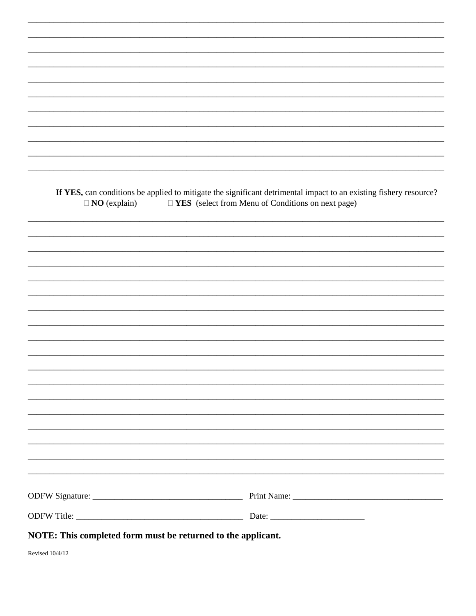| $\Box$ NO (explain) | If YES, can conditions be applied to mitigate the significant detrimental impact to an existing fishery resource?<br>$\Box$ <b>YES</b> (select from Menu of Conditions on next page) |
|---------------------|--------------------------------------------------------------------------------------------------------------------------------------------------------------------------------------|
|                     |                                                                                                                                                                                      |
|                     |                                                                                                                                                                                      |
|                     |                                                                                                                                                                                      |
|                     |                                                                                                                                                                                      |
|                     |                                                                                                                                                                                      |
|                     |                                                                                                                                                                                      |
|                     |                                                                                                                                                                                      |
|                     |                                                                                                                                                                                      |
|                     |                                                                                                                                                                                      |
|                     |                                                                                                                                                                                      |
|                     |                                                                                                                                                                                      |
|                     |                                                                                                                                                                                      |
|                     |                                                                                                                                                                                      |
|                     | <u> 1990 - Johann Barbert, mars and de format de la componentation de la componentation de la componentation de</u>                                                                  |
|                     |                                                                                                                                                                                      |
|                     |                                                                                                                                                                                      |
|                     |                                                                                                                                                                                      |
|                     |                                                                                                                                                                                      |
|                     |                                                                                                                                                                                      |

Revised 10/4/12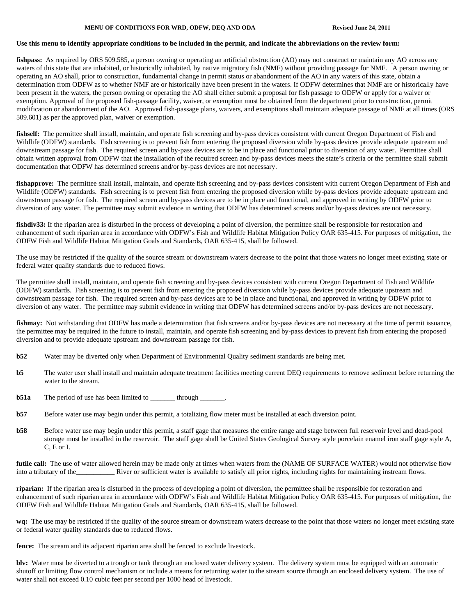#### **MENU OF CONDITIONS FOR WRD, ODFW, DEQ AND ODA Revised June 24, 2011**

#### **Use this menu to identify appropriate conditions to be included in the permit, and indicate the abbreviations on the review form:**

fishpass: As required by ORS 509.585, a person owning or operating an artificial obstruction (AO) may not construct or maintain any AO across any waters of this state that are inhabited, or historically inhabited, by native migratory fish (NMF) without providing passage for NMF. A person owning or operating an AO shall, prior to construction, fundamental change in permit status or abandonment of the AO in any waters of this state, obtain a determination from ODFW as to whether NMF are or historically have been present in the waters. If ODFW determines that NMF are or historically have been present in the waters, the person owning or operating the AO shall either submit a proposal for fish passage to ODFW or apply for a waiver or exemption. Approval of the proposed fish-passage facility, waiver, or exemption must be obtained from the department prior to construction, permit modification or abandonment of the AO. Approved fish-passage plans, waivers, and exemptions shall maintain adequate passage of NMF at all times (ORS 509.601) as per the approved plan, waiver or exemption.

fishself: The permittee shall install, maintain, and operate fish screening and by-pass devices consistent with current Oregon Department of Fish and Wildlife (ODFW) standards. Fish screening is to prevent fish from entering the proposed diversion while by-pass devices provide adequate upstream and downstream passage for fish. The required screen and by-pass devices are to be in place and functional prior to diversion of any water. Permittee shall obtain written approval from ODFW that the installation of the required screen and by-pass devices meets the state's criteria or the permittee shall submit documentation that ODFW has determined screens and/or by-pass devices are not necessary.

fishapprove: The permittee shall install, maintain, and operate fish screening and by-pass devices consistent with current Oregon Department of Fish and Wildlife (ODFW) standards. Fish screening is to prevent fish from entering the proposed diversion while by-pass devices provide adequate upstream and downstream passage for fish. The required screen and by-pass devices are to be in place and functional, and approved in writing by ODFW prior to diversion of any water. The permittee may submit evidence in writing that ODFW has determined screens and/or by-pass devices are not necessary.

fishdiv33: If the riparian area is disturbed in the process of developing a point of diversion, the permittee shall be responsible for restoration and enhancement of such riparian area in accordance with ODFW's Fish and Wildlife Habitat Mitigation Policy OAR 635-415. For purposes of mitigation, the ODFW Fish and Wildlife Habitat Mitigation Goals and Standards, OAR 635-415, shall be followed.

The use may be restricted if the quality of the source stream or downstream waters decrease to the point that those waters no longer meet existing state or federal water quality standards due to reduced flows.

The permittee shall install, maintain, and operate fish screening and by-pass devices consistent with current Oregon Department of Fish and Wildlife (ODFW) standards. Fish screening is to prevent fish from entering the proposed diversion while by-pass devices provide adequate upstream and downstream passage for fish. The required screen and by-pass devices are to be in place and functional, and approved in writing by ODFW prior to diversion of any water. The permittee may submit evidence in writing that ODFW has determined screens and/or by-pass devices are not necessary.

fishmay: Not withstanding that ODFW has made a determination that fish screens and/or by-pass devices are not necessary at the time of permit issuance, the permittee may be required in the future to install, maintain, and operate fish screening and by-pass devices to prevent fish from entering the proposed diversion and to provide adequate upstream and downstream passage for fish.

- **b52** Water may be diverted only when Department of Environmental Quality sediment standards are being met.
- **b5** The water user shall install and maintain adequate treatment facilities meeting current DEQ requirements to remove sediment before returning the water to the stream.
- **b51a** The period of use has been limited to \_\_\_\_\_\_\_\_ through \_\_\_\_\_\_\_.
- **b57** Before water use may begin under this permit, a totalizing flow meter must be installed at each diversion point.
- **b58** Before water use may begin under this permit, a staff gage that measures the entire range and stage between full reservoir level and dead-pool storage must be installed in the reservoir. The staff gage shall be United States Geological Survey style porcelain enamel iron staff gage style A, C, E or I.

**futile call:** The use of water allowed herein may be made only at times when waters from the (NAME OF SURFACE WATER) would not otherwise flow into a tributary of the Theorem Construction and a tributary of the Niver or sufficient water is available to satisfy all prior rights, including rights for maintaining instream flows.

**riparian:** If the riparian area is disturbed in the process of developing a point of diversion, the permittee shall be responsible for restoration and enhancement of such riparian area in accordance with ODFW's Fish and Wildlife Habitat Mitigation Policy OAR 635-415. For purposes of mitigation, the ODFW Fish and Wildlife Habitat Mitigation Goals and Standards, OAR 635-415, shall be followed.

**wq:** The use may be restricted if the quality of the source stream or downstream waters decrease to the point that those waters no longer meet existing state or federal water quality standards due to reduced flows.

**fence:** The stream and its adjacent riparian area shall be fenced to exclude livestock.

**blv:** Water must be diverted to a trough or tank through an enclosed water delivery system. The delivery system must be equipped with an automatic shutoff or limiting flow control mechanism or include a means for returning water to the stream source through an enclosed delivery system. The use of water shall not exceed 0.10 cubic feet per second per 1000 head of livestock.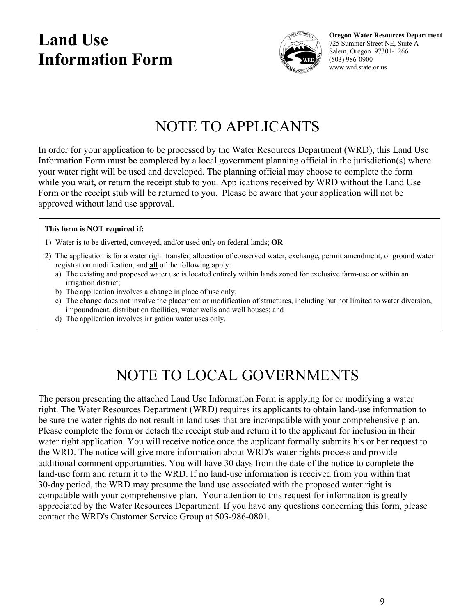## **Land Use Information Form**



**Oregon Water Resources Department**  725 Summer Street NE, Suite A Salem, Oregon 97301-1266 (503) 986-0900 www.wrd.state.or.us

## NOTE TO APPLICANTS

In order for your application to be processed by the Water Resources Department (WRD), this Land Use Information Form must be completed by a local government planning official in the jurisdiction(s) where your water right will be used and developed. The planning official may choose to complete the form while you wait, or return the receipt stub to you. Applications received by WRD without the Land Use Form or the receipt stub will be returned to you. Please be aware that your application will not be approved without land use approval.

#### **This form is NOT required if:**

- 1) Water is to be diverted, conveyed, and/or used only on federal lands; **OR**
- 2) The application is for a water right transfer, allocation of conserved water, exchange, permit amendment, or ground water registration modification, and **all** of the following apply:
	- a) The existing and proposed water use is located entirely within lands zoned for exclusive farm-use or within an irrigation district;
	- b) The application involves a change in place of use only;
	- c) The change does not involve the placement or modification of structures, including but not limited to water diversion, impoundment, distribution facilities, water wells and well houses; and
	- d) The application involves irrigation water uses only.

## NOTE TO LOCAL GOVERNMENTS

The person presenting the attached Land Use Information Form is applying for or modifying a water right. The Water Resources Department (WRD) requires its applicants to obtain land-use information to be sure the water rights do not result in land uses that are incompatible with your comprehensive plan. Please complete the form or detach the receipt stub and return it to the applicant for inclusion in their water right application. You will receive notice once the applicant formally submits his or her request to the WRD. The notice will give more information about WRD's water rights process and provide additional comment opportunities. You will have 30 days from the date of the notice to complete the land-use form and return it to the WRD. If no land-use information is received from you within that 30-day period, the WRD may presume the land use associated with the proposed water right is compatible with your comprehensive plan. Your attention to this request for information is greatly appreciated by the Water Resources Department. If you have any questions concerning this form, please contact the WRD's Customer Service Group at 503-986-0801.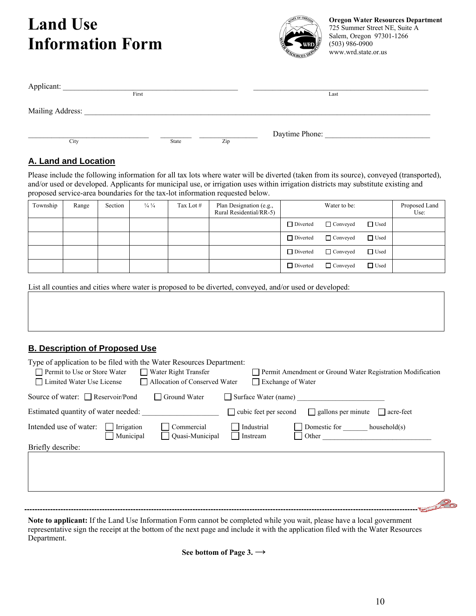## **Land Use Information Form**



**Oregon Water Resources Department**  725 Summer Street NE, Suite A Salem, Oregon 97301-1266 (503) 986-0900 www.wrd.state.or.us

| Applicant:       |       |              |     |                |  |
|------------------|-------|--------------|-----|----------------|--|
|                  | First |              |     | Last           |  |
| Mailing Address: |       |              |     |                |  |
| City             |       | <b>State</b> | Zip | Daytime Phone: |  |

#### **A. Land and Location**

Please include the following information for all tax lots where water will be diverted (taken from its source), conveyed (transported), and/or used or developed. Applicants for municipal use, or irrigation uses within irrigation districts may substitute existing and proposed service-area boundaries for the tax-lot information requested below.

| Township | Range | Section | $\frac{1}{4}$ $\frac{1}{4}$ | Tax Lot # | Plan Designation (e.g.,<br>Rural Residential/RR-5) |                 | Water to be:    |             | Proposed Land<br>Use: |
|----------|-------|---------|-----------------------------|-----------|----------------------------------------------------|-----------------|-----------------|-------------|-----------------------|
|          |       |         |                             |           |                                                    | $\Box$ Diverted | $\Box$ Conveyed | $\Box$ Used |                       |
|          |       |         |                             |           |                                                    | $\Box$ Diverted | $\Box$ Conveyed | □ Used      |                       |
|          |       |         |                             |           |                                                    | $\Box$ Diverted | $\Box$ Conveyed | □ Used      |                       |
|          |       |         |                             |           |                                                    | $\Box$ Diverted | $\Box$ Conveyed | $\Box$ Used |                       |

List all counties and cities where water is proposed to be diverted, conveyed, and/or used or developed:

### **B. Description of Proposed Use**

| Type of application to be filed with the Water Resources Department:<br>Permit to Use or Store Water Water Night Transfer<br>Allocation of Conserved Water<br>□ Limited Water Use License | Permit Amendment or Ground Water Registration Modification<br>Exchange of Water |
|-------------------------------------------------------------------------------------------------------------------------------------------------------------------------------------------|---------------------------------------------------------------------------------|
| Source of water: $\Box$ Reservoir/Pond<br>$\Box$ Ground Water                                                                                                                             | $\Box$ Surface Water (name)                                                     |
| Estimated quantity of water needed:                                                                                                                                                       | $\Box$ cubic feet per second $\Box$ gallons per minute $\Box$ acre-feet         |
| Intended use of water:<br>Commercial<br>Irrigation<br>Municipal<br>$\Box$ Quasi-Municipal                                                                                                 | Industrial<br>Domestic for _______ household(s)<br>Instream<br>Other            |
| Briefly describe:                                                                                                                                                                         |                                                                                 |
|                                                                                                                                                                                           |                                                                                 |

**Note to applicant:** If the Land Use Information Form cannot be completed while you wait, please have a local government representative sign the receipt at the bottom of the next page and include it with the application filed with the Water Resources Department.

**See bottom of Page 3. →**